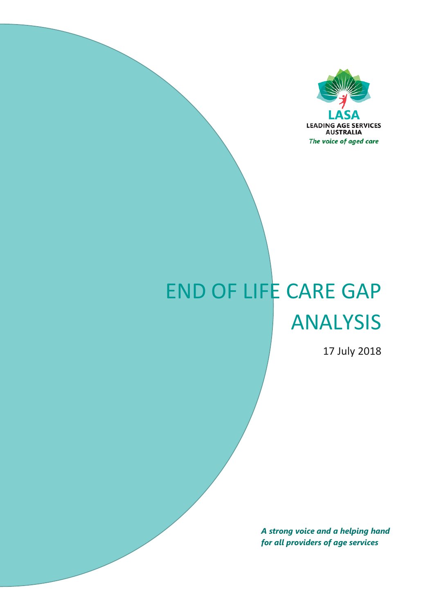

# END OF LIFE CARE GAP ANALYSIS

17 July 2018

*A strong voice and a helping hand for all providers of age services*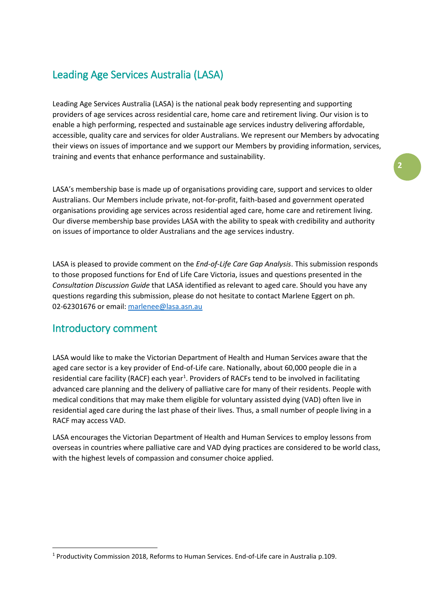# Leading Age Services Australia (LASA)

Leading Age Services Australia (LASA) is the national peak body representing and supporting providers of age services across residential care, home care and retirement living. Our vision is to enable a high performing, respected and sustainable age services industry delivering affordable, accessible, quality care and services for older Australians. We represent our Members by advocating their views on issues of importance and we support our Members by providing information, services, training and events that enhance performance and sustainability.

LASA's membership base is made up of organisations providing care, support and services to older Australians. Our Members include private, not-for-profit, faith-based and government operated organisations providing age services across residential aged care, home care and retirement living. Our diverse membership base provides LASA with the ability to speak with credibility and authority on issues of importance to older Australians and the age services industry.

LASA is pleased to provide comment on the *End-of-Life Care Gap Analysis*. This submission responds to those proposed functions for End of Life Care Victoria, issues and questions presented in the *Consultation Discussion Guide* that LASA identified as relevant to aged care. Should you have any questions regarding this submission, please do not hesitate to contact Marlene Eggert on ph. 02-62301676 or email[: marlenee@lasa.asn.au](mailto:marlenee@lasa.asn.au)

### Introductory comment

LASA would like to make the Victorian Department of Health and Human Services aware that the aged care sector is a key provider of End-of-Life care. Nationally, about 60,000 people die in a residential care facility (RACF) each year<sup>[1](#page-1-0)</sup>. Providers of RACFs tend to be involved in facilitating advanced care planning and the delivery of palliative care for many of their residents. People with medical conditions that may make them eligible for voluntary assisted dying (VAD) often live in residential aged care during the last phase of their lives. Thus, a small number of people living in a RACF may access VAD.

LASA encourages the Victorian Department of Health and Human Services to employ lessons from overseas in countries where palliative care and VAD dying practices are considered to be world class, with the highest levels of compassion and consumer choice applied.

<span id="page-1-0"></span> <sup>1</sup> Productivity Commission 2018, Reforms to Human Services. End-of-Life care in Australia p.109.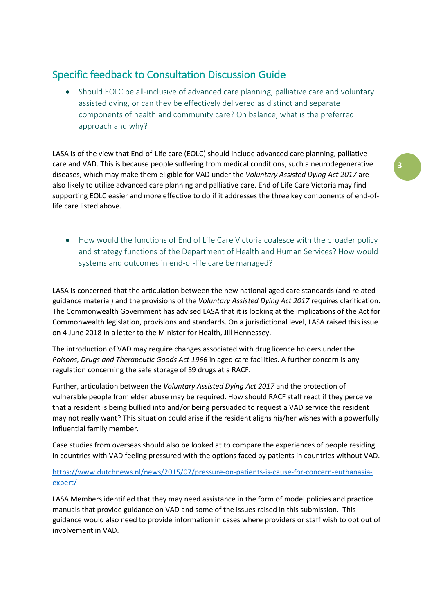## Specific feedback to Consultation Discussion Guide

• Should EOLC be all-inclusive of advanced care planning, palliative care and voluntary assisted dying, or can they be effectively delivered as distinct and separate components of health and community care? On balance, what is the preferred approach and why?

LASA is of the view that End-of-Life care (EOLC) should include advanced care planning, palliative care and VAD. This is because people suffering from medical conditions, such a neurodegenerative diseases, which may make them eligible for VAD under the *Voluntary Assisted Dying Act 2017* are also likely to utilize advanced care planning and palliative care. End of Life Care Victoria may find supporting EOLC easier and more effective to do if it addresses the three key components of end-oflife care listed above.

• How would the functions of End of Life Care Victoria coalesce with the broader policy and strategy functions of the Department of Health and Human Services? How would systems and outcomes in end-of-life care be managed?

LASA is concerned that the articulation between the new national aged care standards (and related guidance material) and the provisions of the *Voluntary Assisted Dying Act 2017* requires clarification. The Commonwealth Government has advised LASA that it is looking at the implications of the Act for Commonwealth legislation, provisions and standards. On a jurisdictional level, LASA raised this issue on 4 June 2018 in a letter to the Minister for Health, Jill Hennessey.

The introduction of VAD may require changes associated with drug licence holders under the *Poisons, Drugs and Therapeutic Goods Act 1966* in aged care facilities. A further concern is any regulation concerning the safe storage of S9 drugs at a RACF.

Further, articulation between the *Voluntary Assisted Dying Act 2017* and the protection of vulnerable people from elder abuse may be required. How should RACF staff react if they perceive that a resident is being bullied into and/or being persuaded to request a VAD service the resident may not really want? This situation could arise if the resident aligns his/her wishes with a powerfully influential family member.

Case studies from overseas should also be looked at to compare the experiences of people residing in countries with VAD feeling pressured with the options faced by patients in countries without VAD.

#### [https://www.dutchnews.nl/news/2015/07/pressure-on-patients-is-cause-for-concern-euthanasia](https://www.dutchnews.nl/news/2015/07/pressure-on-patients-is-cause-for-concern-euthanasia-expert/)[expert/](https://www.dutchnews.nl/news/2015/07/pressure-on-patients-is-cause-for-concern-euthanasia-expert/)

LASA Members identified that they may need assistance in the form of model policies and practice manuals that provide guidance on VAD and some of the issues raised in this submission. This guidance would also need to provide information in cases where providers or staff wish to opt out of involvement in VAD.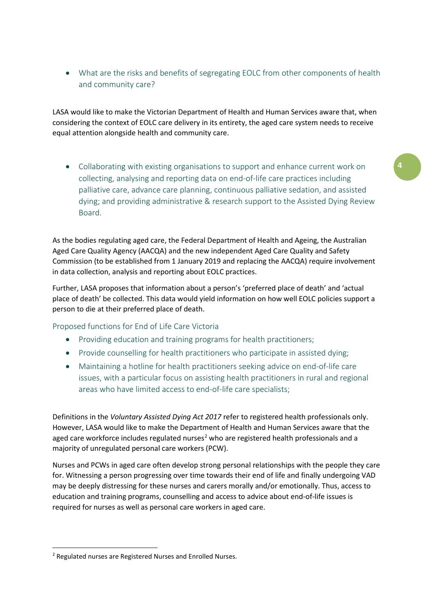• What are the risks and benefits of segregating EOLC from other components of health and community care?

LASA would like to make the Victorian Department of Health and Human Services aware that, when considering the context of EOLC care delivery in its entirety, the aged care system needs to receive equal attention alongside health and community care.

• Collaborating with existing organisations to support and enhance current work on collecting, analysing and reporting data on end-of-life care practices including palliative care, advance care planning, continuous palliative sedation, and assisted dying; and providing administrative & research support to the Assisted Dying Review Board.

**4**

As the bodies regulating aged care, the Federal Department of Health and Ageing, the Australian Aged Care Quality Agency (AACQA) and the new independent Aged Care Quality and Safety Commission (to be established from 1 January 2019 and replacing the AACQA) require involvement in data collection, analysis and reporting about EOLC practices.

Further, LASA proposes that information about a person's 'preferred place of death' and 'actual place of death' be collected. This data would yield information on how well EOLC policies support a person to die at their preferred place of death.

Proposed functions for End of Life Care Victoria

- Providing education and training programs for health practitioners;
- Provide counselling for health practitioners who participate in assisted dying;
- Maintaining a hotline for health practitioners seeking advice on end-of-life care issues, with a particular focus on assisting health practitioners in rural and regional areas who have limited access to end-of-life care specialists;

Definitions in the *Voluntary Assisted Dying Act 2017* refer to registered health professionals only. However, LASA would like to make the Department of Health and Human Services aware that the aged care workforce includes regulated nurses<sup>[2](#page-3-0)</sup> who are registered health professionals and a majority of unregulated personal care workers (PCW).

Nurses and PCWs in aged care often develop strong personal relationships with the people they care for. Witnessing a person progressing over time towards their end of life and finally undergoing VAD may be deeply distressing for these nurses and carers morally and/or emotionally. Thus, access to education and training programs, counselling and access to advice about end-of-life issues is required for nurses as well as personal care workers in aged care.

<span id="page-3-0"></span> <sup>2</sup> Regulated nurses are Registered Nurses and Enrolled Nurses.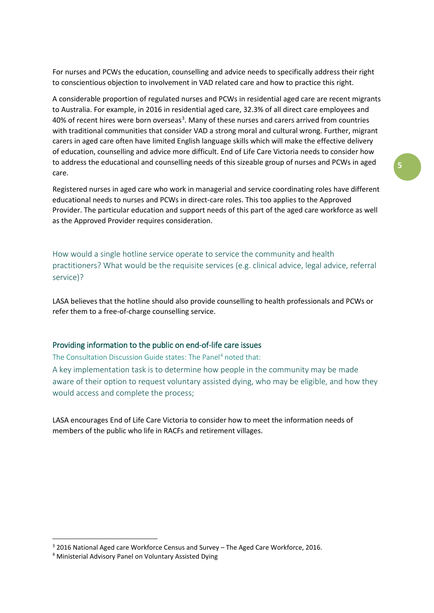For nurses and PCWs the education, counselling and advice needs to specifically address their right to conscientious objection to involvement in VAD related care and how to practice this right.

A considerable proportion of regulated nurses and PCWs in residential aged care are recent migrants to Australia. For example, in 2016 in residential aged care, 32.3% of all direct care employees and 40% of recent hires were born overseas<sup>[3](#page-4-0)</sup>. Many of these nurses and carers arrived from countries with traditional communities that consider VAD a strong moral and cultural wrong. Further, migrant carers in aged care often have limited English language skills which will make the effective delivery of education, counselling and advice more difficult. End of Life Care Victoria needs to consider how to address the educational and counselling needs of this sizeable group of nurses and PCWs in aged care.

Registered nurses in aged care who work in managerial and service coordinating roles have different educational needs to nurses and PCWs in direct-care roles. This too applies to the Approved Provider. The particular education and support needs of this part of the aged care workforce as well as the Approved Provider requires consideration.

How would a single hotline service operate to service the community and health practitioners? What would be the requisite services (e.g. clinical advice, legal advice, referral service)?

LASA believes that the hotline should also provide counselling to health professionals and PCWs or refer them to a free-of-charge counselling service.

#### Providing information to the public on end-of-life care issues

The Consultation Discussion Guide states: The Panel<sup>[4](#page-4-1)</sup> noted that:

A key implementation task is to determine how people in the community may be made aware of their option to request voluntary assisted dying, who may be eligible, and how they would access and complete the process;

LASA encourages End of Life Care Victoria to consider how to meet the information needs of members of the public who life in RACFs and retirement villages.

<span id="page-4-0"></span> <sup>3</sup> 2016 National Aged care Workforce Census and Survey – The Aged Care Workforce, 2016.

<span id="page-4-1"></span><sup>4</sup> Ministerial Advisory Panel on Voluntary Assisted Dying